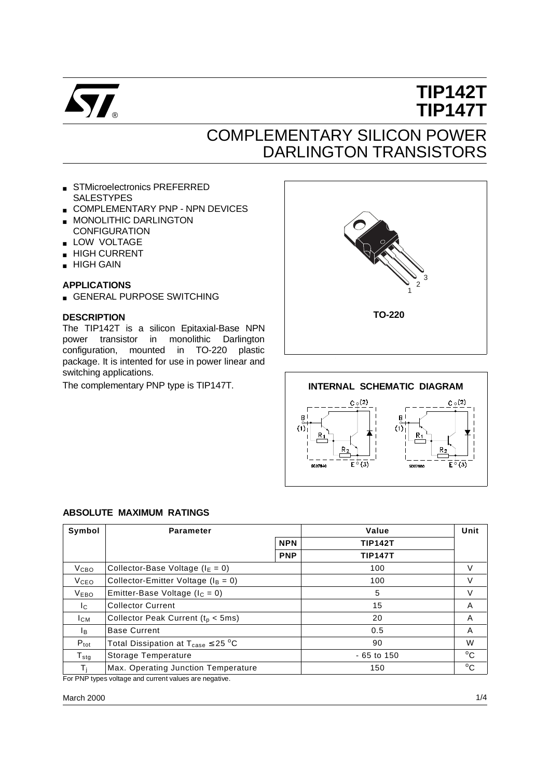

# **TIP142T TIP147T**

## COMPLEMENTARY SILICON POWER DARLINGTON TRANSISTORS

- STMicroelectronics PREFERRED SALESTYPES
- COMPLEMENTARY PNP NPN DEVICES
- MONOLITHIC DARLINGTON
- **CONFIGURATION**
- LOW VOLTAGE
- HIGH CURRENT
- HIGH GAIN

### **APPLICATIONS**

■ GENERAL PURPOSE SWITCHING

#### **DESCRIPTION**

The TIP142T is a silicon Epitaxial-Base NPN power transistor in monolithic Darlington configuration, mounted in TO-220 plastic package. It is intented for use in power linear and switching applications.





#### **ABSOLUTE MAXIMUM RATINGS**

| Symbol              | <b>Parameter</b>                                          |            | Value          | Unit         |
|---------------------|-----------------------------------------------------------|------------|----------------|--------------|
|                     | <b>NPN</b>                                                |            | <b>TIP142T</b> |              |
|                     |                                                           | <b>PNP</b> | <b>TIP147T</b> |              |
| V <sub>CBO</sub>    | Collector-Base Voltage ( $IE = 0$ )                       |            | 100            | V            |
| <b>V</b> ceo        | Collector-Emitter Voltage ( $I_B = 0$ )                   |            | 100            | V            |
| V <sub>EBO</sub>    | Emitter-Base Voltage ( $I_C = 0$ )                        |            | 5              | V            |
| Ic.                 | <b>Collector Current</b>                                  |            | 15             | A            |
| $I_{CM}$            | Collector Peak Current ( $t_p < 5$ ms)                    |            | 20             | A            |
| lв.                 | <b>Base Current</b>                                       |            | 0.5            | A            |
| $P_{\text{tot}}$    | Total Dissipation at $T_{\text{case}} \leq 25 \text{ °C}$ |            | 90             | W            |
| ${\sf T}_{\sf stg}$ | Storage Temperature                                       |            | $-65$ to 150   | $^{\circ}$ C |
| Тı                  | Max. Operating Junction Temperature                       |            | 150            | $^{\circ}$ C |
|                     | For PNP types voltage and current values are pegative     |            |                |              |

For PNP types voltage and current values are negative.

#### March 2000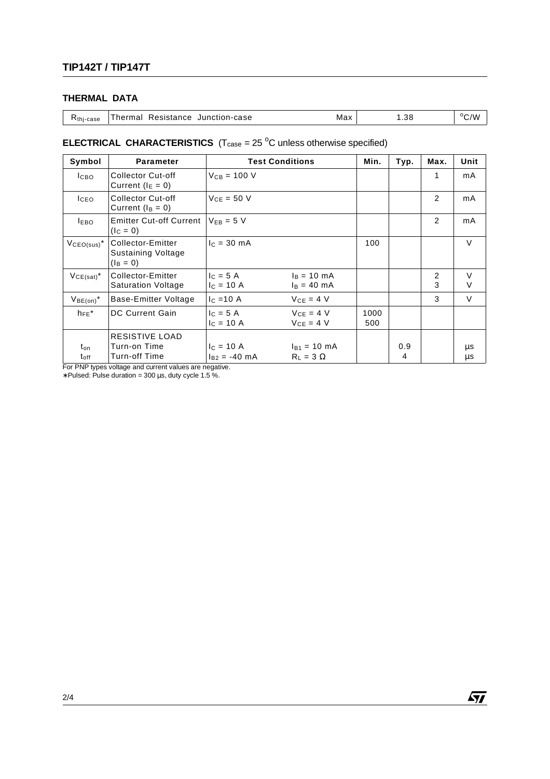## **THERMAL DATA**

| Thermal Resistance Junction-case<br>Max<br>K <sub>thi-case</sub> | .38 | $\rm ^{o}C/W$ |
|------------------------------------------------------------------|-----|---------------|
|------------------------------------------------------------------|-----|---------------|

## **ELECTRICAL CHARACTERISTICS**  $(T_{\text{case}} = 25 \text{ °C}$  unless otherwise specified)

| Symbol                  | <b>Parameter</b>                                       | <b>Test Conditions</b>          | Min.                                           | Typ.        | Max.     | Unit   |          |
|-------------------------|--------------------------------------------------------|---------------------------------|------------------------------------------------|-------------|----------|--------|----------|
| $_{\text{LBO}}$         | <b>Collector Cut-off</b><br>Current $(I_E = 0)$        | $V_{CB} = 100 V$                |                                                |             |          | 1      | mA       |
| ICEO.                   | <b>Collector Cut-off</b><br>Current $(I_B = 0)$        | $V_{CE} = 50 V$                 |                                                |             |          | 2      | mA       |
| <b>IEBO</b>             | <b>Emitter Cut-off Current</b><br>$(lC = 0)$           | $V_{FB} = 5 V$                  |                                                |             |          | 2      | mA       |
| $VCEO(sus)^*$           | Collector-Emitter<br>Sustaining Voltage<br>$(I_B = 0)$ | $c = 30$ mA                     |                                                | 100         |          |        | $\vee$   |
| $VCE(sat)^*$            | Collector-Emitter<br><b>Saturation Voltage</b>         | $c = 5A$<br>$c = 10 A$          | $I_B = 10 \text{ mA}$<br>$I_B = 40 \text{ mA}$ |             |          | 2<br>3 | $\vee$   |
| $V_{BE(on)}$ *          | Base-Emitter Voltage                                   | $c = 10$ A                      | $V_{CE} = 4 V$                                 |             |          | 3      | V        |
| $h_{FE}$ *              | <b>DC Current Gain</b>                                 | $c = 5A$<br>$c = 10 A$          | $V_{CE} = 4 V$<br>$VCF = 4 V$                  | 1000<br>500 |          |        |          |
| ton<br>t <sub>off</sub> | RESISTIVE LOAD<br>Turn-on Time<br>Turn-off Time        | $c = 10 A$<br>$I_{B2} = -40$ mA | $I_{B1} = 10$ mA<br>$R_1 = 3 \Omega$           |             | 0.9<br>4 |        | μs<br>μs |

For PNP types voltage and current values are negative.

∗ Pulsed: Pulse duration = 300 µs, duty cycle 1.5 %.

 $\sqrt{27}$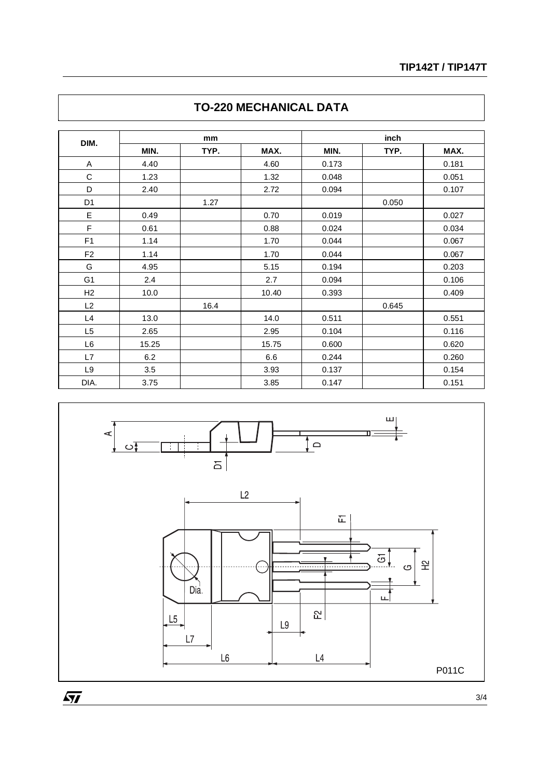| DIM.           | mm    |      |       | inch  |       |       |
|----------------|-------|------|-------|-------|-------|-------|
|                | MIN.  | TYP. | MAX.  | MIN.  | TYP.  | MAX.  |
| A              | 4.40  |      | 4.60  | 0.173 |       | 0.181 |
| $\mathsf C$    | 1.23  |      | 1.32  | 0.048 |       | 0.051 |
| D              | 2.40  |      | 2.72  | 0.094 |       | 0.107 |
| D <sub>1</sub> |       | 1.27 |       |       | 0.050 |       |
| E              | 0.49  |      | 0.70  | 0.019 |       | 0.027 |
| F              | 0.61  |      | 0.88  | 0.024 |       | 0.034 |
| F <sub>1</sub> | 1.14  |      | 1.70  | 0.044 |       | 0.067 |
| F <sub>2</sub> | 1.14  |      | 1.70  | 0.044 |       | 0.067 |
| G              | 4.95  |      | 5.15  | 0.194 |       | 0.203 |
| G <sub>1</sub> | 2.4   |      | 2.7   | 0.094 |       | 0.106 |
| H <sub>2</sub> | 10.0  |      | 10.40 | 0.393 |       | 0.409 |
| L2             |       | 16.4 |       |       | 0.645 |       |
| L4             | 13.0  |      | 14.0  | 0.511 |       | 0.551 |
| L <sub>5</sub> | 2.65  |      | 2.95  | 0.104 |       | 0.116 |
| L <sub>6</sub> | 15.25 |      | 15.75 | 0.600 |       | 0.620 |
| L7             | 6.2   |      | 6.6   | 0.244 |       | 0.260 |
| L9             | 3.5   |      | 3.93  | 0.137 |       | 0.154 |
| DIA.           | 3.75  |      | 3.85  | 0.147 |       | 0.151 |





 $\overline{SI}$